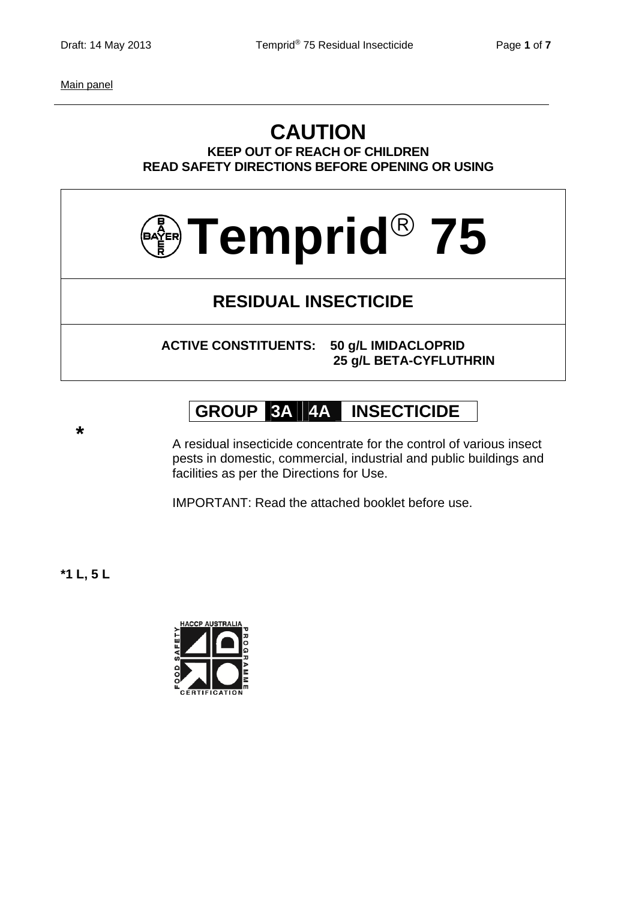Main panel

### **CAUTION KEEP OUT OF REACH OF CHILDREN READ SAFETY DIRECTIONS BEFORE OPENING OR USING**



# **RESIDUAL INSECTICIDE**

**ACTIVE CONSTITUENTS: 50 g/L IMIDACLOPRID 25 g/L BETA-CYFLUTHRIN**

# **GROUP 3A 4A INSECTICIDE**

 **\*** A residual insecticide concentrate for the control of various insect pests in domestic, commercial, industrial and public buildings and facilities as per the Directions for Use.

IMPORTANT: Read the attached booklet before use.

**\*1 L, 5 L** 

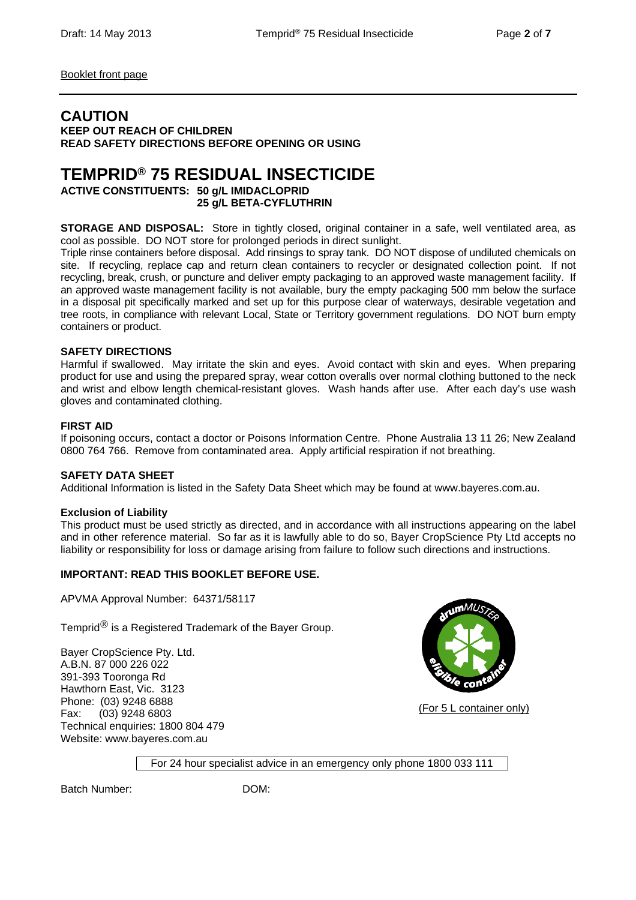Booklet front page

### **CAUTION**

**KEEP OUT REACH OF CHILDREN READ SAFETY DIRECTIONS BEFORE OPENING OR USING** 

## **TEMPRID® 75 RESIDUAL INSECTICIDE**

**ACTIVE CONSTITUENTS: 50 g/L IMIDACLOPRID 25 g/L BETA-CYFLUTHRIN** 

**STORAGE AND DISPOSAL:** Store in tightly closed, original container in a safe, well ventilated area, as cool as possible. DO NOT store for prolonged periods in direct sunlight.

Triple rinse containers before disposal. Add rinsings to spray tank. DO NOT dispose of undiluted chemicals on site. If recycling, replace cap and return clean containers to recycler or designated collection point. If not recycling, break, crush, or puncture and deliver empty packaging to an approved waste management facility. If an approved waste management facility is not available, bury the empty packaging 500 mm below the surface in a disposal pit specifically marked and set up for this purpose clear of waterways, desirable vegetation and tree roots, in compliance with relevant Local, State or Territory government regulations. DO NOT burn empty containers or product.

#### **SAFETY DIRECTIONS**

Harmful if swallowed. May irritate the skin and eyes. Avoid contact with skin and eyes. When preparing product for use and using the prepared spray, wear cotton overalls over normal clothing buttoned to the neck and wrist and elbow length chemical-resistant gloves. Wash hands after use. After each day's use wash gloves and contaminated clothing.

#### **FIRST AID**

If poisoning occurs, contact a doctor or Poisons Information Centre. Phone Australia 13 11 26; New Zealand 0800 764 766. Remove from contaminated area. Apply artificial respiration if not breathing.

#### **SAFETY DATA SHEET**

Additional Information is listed in the Safety Data Sheet which may be found at www.bayeres.com.au.

#### **Exclusion of Liability**

This product must be used strictly as directed, and in accordance with all instructions appearing on the label and in other reference material. So far as it is lawfully able to do so, Bayer CropScience Pty Ltd accepts no liability or responsibility for loss or damage arising from failure to follow such directions and instructions.

#### **IMPORTANT: READ THIS BOOKLET BEFORE USE.**

APVMA Approval Number: 64371/58117

Temprid $<sup>®</sup>$  is a Registered Trademark of the Bayer Group.</sup>

Bayer CropScience Pty. Ltd. A.B.N. 87 000 226 022 391-393 Tooronga Rd Hawthorn East, Vic. 3123 Phone: (03) 9248 6888 Fax: (03) 9248 6803 Technical enquiries: 1800 804 479 Website: www.bayeres.com.au



(For 5 L container only)

For 24 hour specialist advice in an emergency only phone 1800 033 111

Batch Number: DOM: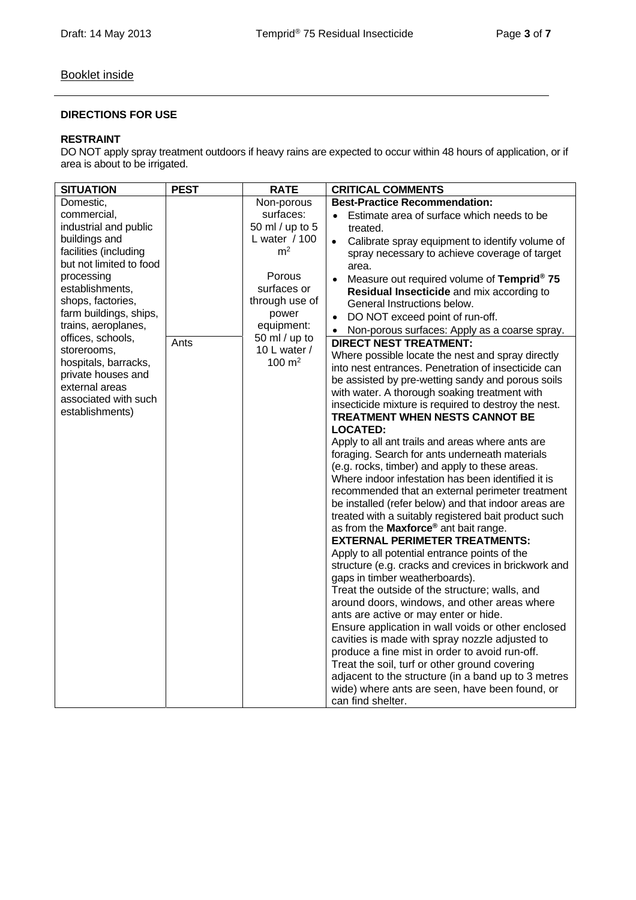### Booklet inside

#### **DIRECTIONS FOR USE**

#### **RESTRAINT**

DO NOT apply spray treatment outdoors if heavy rains are expected to occur within 48 hours of application, or if area is about to be irrigated.

| <b>SITUATION</b>        | <b>PEST</b> | <b>RATE</b>     | <b>CRITICAL COMMENTS</b>                                                                        |
|-------------------------|-------------|-----------------|-------------------------------------------------------------------------------------------------|
| Domestic,               |             | Non-porous      | <b>Best-Practice Recommendation:</b>                                                            |
| commercial,             |             | surfaces:       | Estimate area of surface which needs to be                                                      |
| industrial and public   |             | 50 ml / up to 5 | treated.                                                                                        |
| buildings and           |             | L water / 100   | Calibrate spray equipment to identify volume of<br>$\bullet$                                    |
| facilities (including   |             | m <sup>2</sup>  | spray necessary to achieve coverage of target                                                   |
| but not limited to food |             |                 | area.                                                                                           |
| processing              |             | Porous          | Measure out required volume of Temprid <sup>®</sup> 75                                          |
| establishments,         |             | surfaces or     | Residual Insecticide and mix according to                                                       |
| shops, factories,       |             | through use of  | General Instructions below.                                                                     |
| farm buildings, ships,  |             | power           | DO NOT exceed point of run-off.                                                                 |
| trains, aeroplanes,     |             | equipment:      | Non-porous surfaces: Apply as a coarse spray.                                                   |
| offices, schools,       | Ants        | 50 ml / up to   | <b>DIRECT NEST TREATMENT:</b>                                                                   |
| storerooms,             |             | 10 L water /    | Where possible locate the nest and spray directly                                               |
| hospitals, barracks,    |             | 100 $m2$        | into nest entrances. Penetration of insecticide can                                             |
| private houses and      |             |                 | be assisted by pre-wetting sandy and porous soils                                               |
| external areas          |             |                 | with water. A thorough soaking treatment with                                                   |
| associated with such    |             |                 | insecticide mixture is required to destroy the nest.                                            |
| establishments)         |             |                 | TREATMENT WHEN NESTS CANNOT BE                                                                  |
|                         |             |                 | <b>LOCATED:</b>                                                                                 |
|                         |             |                 | Apply to all ant trails and areas where ants are                                                |
|                         |             |                 | foraging. Search for ants underneath materials                                                  |
|                         |             |                 | (e.g. rocks, timber) and apply to these areas.                                                  |
|                         |             |                 | Where indoor infestation has been identified it is                                              |
|                         |             |                 | recommended that an external perimeter treatment                                                |
|                         |             |                 | be installed (refer below) and that indoor areas are                                            |
|                         |             |                 | treated with a suitably registered bait product such                                            |
|                         |             |                 | as from the Maxforce <sup>®</sup> ant bait range.                                               |
|                         |             |                 | <b>EXTERNAL PERIMETER TREATMENTS:</b>                                                           |
|                         |             |                 | Apply to all potential entrance points of the                                                   |
|                         |             |                 | structure (e.g. cracks and crevices in brickwork and                                            |
|                         |             |                 | gaps in timber weatherboards).                                                                  |
|                         |             |                 | Treat the outside of the structure; walls, and                                                  |
|                         |             |                 | around doors, windows, and other areas where                                                    |
|                         |             |                 | ants are active or may enter or hide.                                                           |
|                         |             |                 | Ensure application in wall voids or other enclosed                                              |
|                         |             |                 | cavities is made with spray nozzle adjusted to                                                  |
|                         |             |                 | produce a fine mist in order to avoid run-off.<br>Treat the soil, turf or other ground covering |
|                         |             |                 | adjacent to the structure (in a band up to 3 metres                                             |
|                         |             |                 | wide) where ants are seen, have been found, or                                                  |
|                         |             |                 | can find shelter.                                                                               |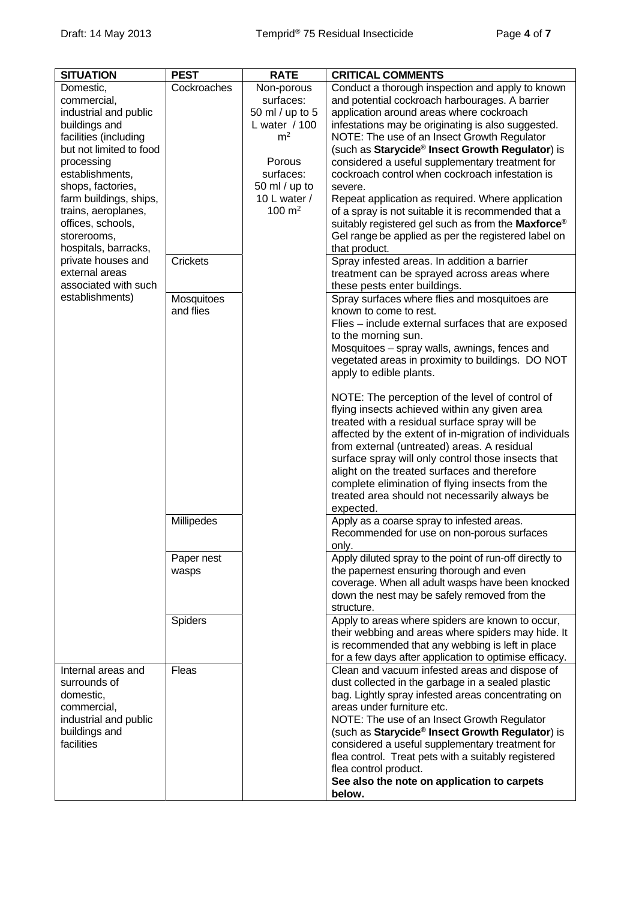| <b>SITUATION</b>                                                                                                                                                                                                                                                                                                                                                             | <b>PEST</b>                                                                                    | <b>RATE</b>                                                                                                                                                  | <b>CRITICAL COMMENTS</b>                                                                                                                                                                                                                                                                                                                                                                                                                                                                                                                                                                                                                                                                                                                                                                                                                                                                                                                                                                                                                                                                                                                                                                                                                                                                                                                                                                                                                                                                                                                                                                                                                                                                                                                                                                                                                                                                                 |
|------------------------------------------------------------------------------------------------------------------------------------------------------------------------------------------------------------------------------------------------------------------------------------------------------------------------------------------------------------------------------|------------------------------------------------------------------------------------------------|--------------------------------------------------------------------------------------------------------------------------------------------------------------|----------------------------------------------------------------------------------------------------------------------------------------------------------------------------------------------------------------------------------------------------------------------------------------------------------------------------------------------------------------------------------------------------------------------------------------------------------------------------------------------------------------------------------------------------------------------------------------------------------------------------------------------------------------------------------------------------------------------------------------------------------------------------------------------------------------------------------------------------------------------------------------------------------------------------------------------------------------------------------------------------------------------------------------------------------------------------------------------------------------------------------------------------------------------------------------------------------------------------------------------------------------------------------------------------------------------------------------------------------------------------------------------------------------------------------------------------------------------------------------------------------------------------------------------------------------------------------------------------------------------------------------------------------------------------------------------------------------------------------------------------------------------------------------------------------------------------------------------------------------------------------------------------------|
| Domestic,<br>commercial,<br>industrial and public<br>buildings and<br>facilities (including<br>but not limited to food<br>processing<br>establishments,<br>shops, factories,<br>farm buildings, ships,<br>trains, aeroplanes,<br>offices, schools,<br>storerooms,<br>hospitals, barracks,<br>private houses and<br>external areas<br>associated with such<br>establishments) | Cockroaches<br><b>Crickets</b><br>Mosquitoes<br>and flies<br>Millipedes<br>Paper nest<br>wasps | Non-porous<br>surfaces:<br>50 ml / up to 5<br>L water / 100<br>m <sup>2</sup><br>Porous<br>surfaces:<br>50 ml / up to<br>10 L water /<br>$100 \; \text{m}^2$ | Conduct a thorough inspection and apply to known<br>and potential cockroach harbourages. A barrier<br>application around areas where cockroach<br>infestations may be originating is also suggested.<br>NOTE: The use of an Insect Growth Regulator<br>(such as Starycide <sup>®</sup> Insect Growth Regulator) is<br>considered a useful supplementary treatment for<br>cockroach control when cockroach infestation is<br>severe.<br>Repeat application as required. Where application<br>of a spray is not suitable it is recommended that a<br>suitably registered gel such as from the Maxforce®<br>Gel range be applied as per the registered label on<br>that product.<br>Spray infested areas. In addition a barrier<br>treatment can be sprayed across areas where<br>these pests enter buildings.<br>Spray surfaces where flies and mosquitoes are<br>known to come to rest.<br>Flies - include external surfaces that are exposed<br>to the morning sun.<br>Mosquitoes - spray walls, awnings, fences and<br>vegetated areas in proximity to buildings. DO NOT<br>apply to edible plants.<br>NOTE: The perception of the level of control of<br>flying insects achieved within any given area<br>treated with a residual surface spray will be<br>affected by the extent of in-migration of individuals<br>from external (untreated) areas. A residual<br>surface spray will only control those insects that<br>alight on the treated surfaces and therefore<br>complete elimination of flying insects from the<br>treated area should not necessarily always be<br>expected.<br>Apply as a coarse spray to infested areas.<br>Recommended for use on non-porous surfaces<br>only.<br>Apply diluted spray to the point of run-off directly to<br>the papernest ensuring thorough and even<br>coverage. When all adult wasps have been knocked<br>down the nest may be safely removed from the |
|                                                                                                                                                                                                                                                                                                                                                                              | <b>Spiders</b>                                                                                 |                                                                                                                                                              | structure.<br>Apply to areas where spiders are known to occur,<br>their webbing and areas where spiders may hide. It<br>is recommended that any webbing is left in place<br>for a few days after application to optimise efficacy.                                                                                                                                                                                                                                                                                                                                                                                                                                                                                                                                                                                                                                                                                                                                                                                                                                                                                                                                                                                                                                                                                                                                                                                                                                                                                                                                                                                                                                                                                                                                                                                                                                                                       |
| Internal areas and<br>surrounds of<br>domestic,<br>commercial,<br>industrial and public<br>buildings and<br>facilities                                                                                                                                                                                                                                                       | Fleas                                                                                          |                                                                                                                                                              | Clean and vacuum infested areas and dispose of<br>dust collected in the garbage in a sealed plastic<br>bag. Lightly spray infested areas concentrating on<br>areas under furniture etc.<br>NOTE: The use of an Insect Growth Regulator<br>(such as Starycide® Insect Growth Regulator) is<br>considered a useful supplementary treatment for<br>flea control. Treat pets with a suitably registered<br>flea control product.<br>See also the note on application to carpets<br>below.                                                                                                                                                                                                                                                                                                                                                                                                                                                                                                                                                                                                                                                                                                                                                                                                                                                                                                                                                                                                                                                                                                                                                                                                                                                                                                                                                                                                                    |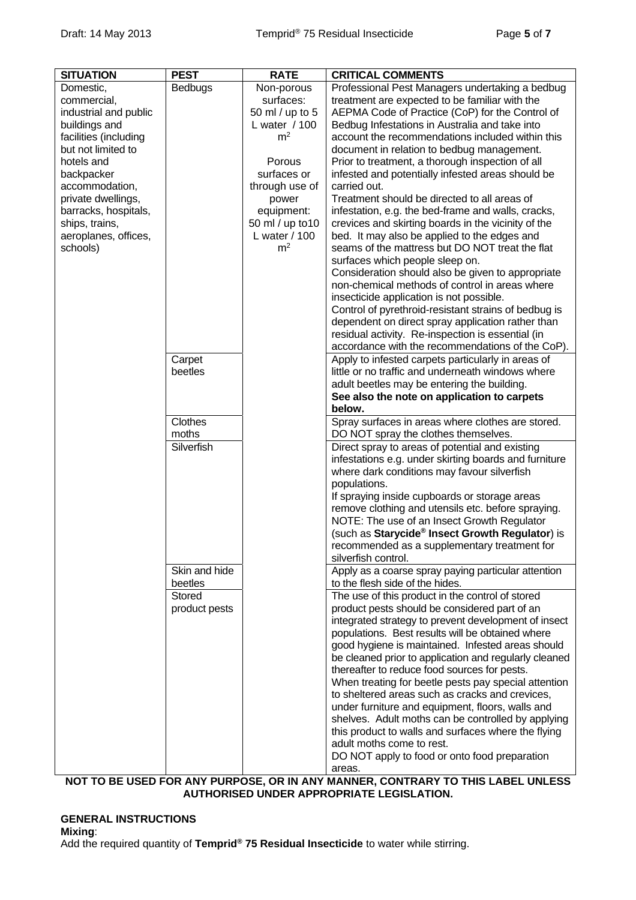| <b>SITUATION</b>      | <b>PEST</b>   | <b>RATE</b>      | <b>CRITICAL COMMENTS</b>                                                                                |
|-----------------------|---------------|------------------|---------------------------------------------------------------------------------------------------------|
| Domestic,             | Bedbugs       | Non-porous       | Professional Pest Managers undertaking a bedbug                                                         |
| commercial,           |               | surfaces:        | treatment are expected to be familiar with the                                                          |
| industrial and public |               | 50 ml / up to 5  | AEPMA Code of Practice (CoP) for the Control of                                                         |
| buildings and         |               | L water / 100    | Bedbug Infestations in Australia and take into                                                          |
| facilities (including |               | m <sup>2</sup>   | account the recommendations included within this                                                        |
| but not limited to    |               |                  | document in relation to bedbug management.                                                              |
| hotels and            |               | Porous           | Prior to treatment, a thorough inspection of all                                                        |
| backpacker            |               | surfaces or      | infested and potentially infested areas should be                                                       |
| accommodation,        |               | through use of   | carried out.                                                                                            |
| private dwellings,    |               | power            | Treatment should be directed to all areas of                                                            |
| barracks, hospitals,  |               | equipment:       | infestation, e.g. the bed-frame and walls, cracks,                                                      |
| ships, trains,        |               | 50 ml / up to 10 | crevices and skirting boards in the vicinity of the                                                     |
| aeroplanes, offices,  |               | L water / 100    | bed. It may also be applied to the edges and                                                            |
| schools)              |               | m <sup>2</sup>   | seams of the mattress but DO NOT treat the flat                                                         |
|                       |               |                  | surfaces which people sleep on.                                                                         |
|                       |               |                  | Consideration should also be given to appropriate<br>non-chemical methods of control in areas where     |
|                       |               |                  | insecticide application is not possible.                                                                |
|                       |               |                  | Control of pyrethroid-resistant strains of bedbug is                                                    |
|                       |               |                  | dependent on direct spray application rather than                                                       |
|                       |               |                  | residual activity. Re-inspection is essential (in                                                       |
|                       |               |                  | accordance with the recommendations of the CoP).                                                        |
|                       | Carpet        |                  | Apply to infested carpets particularly in areas of                                                      |
|                       | beetles       |                  | little or no traffic and underneath windows where                                                       |
|                       |               |                  | adult beetles may be entering the building.                                                             |
|                       |               |                  | See also the note on application to carpets                                                             |
|                       |               |                  | below.                                                                                                  |
|                       | Clothes       |                  | Spray surfaces in areas where clothes are stored.                                                       |
|                       | moths         |                  | DO NOT spray the clothes themselves.                                                                    |
|                       | Silverfish    |                  | Direct spray to areas of potential and existing                                                         |
|                       |               |                  | infestations e.g. under skirting boards and furniture                                                   |
|                       |               |                  | where dark conditions may favour silverfish                                                             |
|                       |               |                  | populations.                                                                                            |
|                       |               |                  | If spraying inside cupboards or storage areas                                                           |
|                       |               |                  | remove clothing and utensils etc. before spraying.                                                      |
|                       |               |                  | NOTE: The use of an Insect Growth Regulator                                                             |
|                       |               |                  | (such as Starycide® Insect Growth Regulator) is                                                         |
|                       |               |                  | recommended as a supplementary treatment for                                                            |
|                       |               |                  | silverfish control.                                                                                     |
|                       | Skin and hide |                  | Apply as a coarse spray paying particular attention                                                     |
|                       | beetles       |                  | to the flesh side of the hides.                                                                         |
|                       | <b>Stored</b> |                  | The use of this product in the control of stored                                                        |
|                       | product pests |                  | product pests should be considered part of an                                                           |
|                       |               |                  | integrated strategy to prevent development of insect                                                    |
|                       |               |                  | populations. Best results will be obtained where                                                        |
|                       |               |                  | good hygiene is maintained. Infested areas should                                                       |
|                       |               |                  | be cleaned prior to application and regularly cleaned                                                   |
|                       |               |                  | thereafter to reduce food sources for pests.                                                            |
|                       |               |                  | When treating for beetle pests pay special attention<br>to sheltered areas such as cracks and crevices, |
|                       |               |                  |                                                                                                         |
|                       |               |                  | under furniture and equipment, floors, walls and<br>shelves. Adult moths can be controlled by applying  |
|                       |               |                  | this product to walls and surfaces where the flying                                                     |
|                       |               |                  | adult moths come to rest.                                                                               |
|                       |               |                  | DO NOT apply to food or onto food preparation                                                           |
|                       |               |                  | areas.                                                                                                  |
|                       |               |                  | NOT TO BE HISED EOP ANY DHDDOSE OD IN ANY MANNED CONTDADY TO THIS LABEL HNI ESS.                        |

**NOT TO BE USED FOR ANY PURPOSE, OR IN ANY MANNER, CONTRARY TO THIS LABEL UNLESS AUTHORISED UNDER APPROPRIATE LEGISLATION.** 

#### **GENERAL INSTRUCTIONS Mixing**: Add the required quantity of **Temprid® 75 Residual Insecticide** to water while stirring.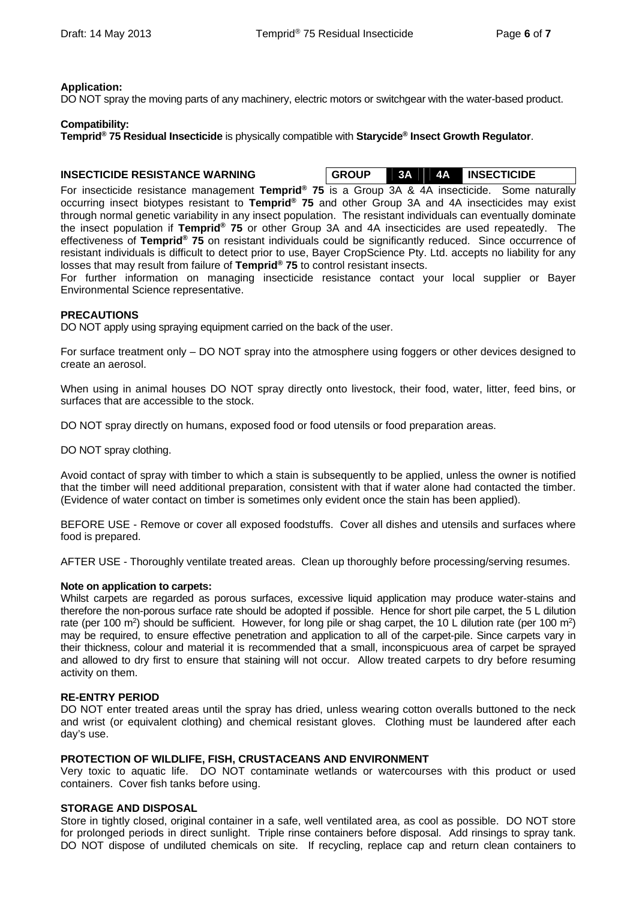#### **Application:**

DO NOT spray the moving parts of any machinery, electric motors or switchgear with the water-based product.

#### **Compatibility:**

**Temprid® 75 Residual Insecticide** is physically compatible with **Starycide® Insect Growth Regulator**.

**INSECTICIDE RESISTANCE WARNING GROUP 3A 4A INSECTICIDE** 

For insecticide resistance management **Temprid® 75** is a Group 3A & 4A insecticide. Some naturally occurring insect biotypes resistant to **Temprid® 75** and other Group 3A and 4A insecticides may exist through normal genetic variability in any insect population. The resistant individuals can eventually dominate the insect population if **Temprid® 75** or other Group 3A and 4A insecticides are used repeatedly. The effectiveness of **Temprid® 75** on resistant individuals could be significantly reduced. Since occurrence of resistant individuals is difficult to detect prior to use, Bayer CropScience Pty. Ltd. accepts no liability for any losses that may result from failure of **Temprid® 75** to control resistant insects.

For further information on managing insecticide resistance contact your local supplier or Bayer Environmental Science representative.

#### **PRECAUTIONS**

DO NOT apply using spraying equipment carried on the back of the user.

For surface treatment only – DO NOT spray into the atmosphere using foggers or other devices designed to create an aerosol.

When using in animal houses DO NOT spray directly onto livestock, their food, water, litter, feed bins, or surfaces that are accessible to the stock.

DO NOT spray directly on humans, exposed food or food utensils or food preparation areas.

DO NOT spray clothing.

Avoid contact of spray with timber to which a stain is subsequently to be applied, unless the owner is notified that the timber will need additional preparation, consistent with that if water alone had contacted the timber. (Evidence of water contact on timber is sometimes only evident once the stain has been applied).

BEFORE USE - Remove or cover all exposed foodstuffs. Cover all dishes and utensils and surfaces where food is prepared.

AFTER USE - Thoroughly ventilate treated areas. Clean up thoroughly before processing/serving resumes.

#### **Note on application to carpets:**

Whilst carpets are regarded as porous surfaces, excessive liquid application may produce water-stains and therefore the non-porous surface rate should be adopted if possible. Hence for short pile carpet, the 5 L dilution rate (per 100 m<sup>2</sup>) should be sufficient. However, for long pile or shag carpet, the 10 L dilution rate (per 100 m<sup>2</sup>) may be required, to ensure effective penetration and application to all of the carpet-pile. Since carpets vary in their thickness, colour and material it is recommended that a small, inconspicuous area of carpet be sprayed and allowed to dry first to ensure that staining will not occur. Allow treated carpets to dry before resuming activity on them.

#### **RE-ENTRY PERIOD**

DO NOT enter treated areas until the spray has dried, unless wearing cotton overalls buttoned to the neck and wrist (or equivalent clothing) and chemical resistant gloves. Clothing must be laundered after each day's use.

#### **PROTECTION OF WILDLIFE, FISH, CRUSTACEANS AND ENVIRONMENT**

Very toxic to aquatic life. DO NOT contaminate wetlands or watercourses with this product or used containers. Cover fish tanks before using.

#### **STORAGE AND DISPOSAL**

Store in tightly closed, original container in a safe, well ventilated area, as cool as possible. DO NOT store for prolonged periods in direct sunlight. Triple rinse containers before disposal. Add rinsings to spray tank. DO NOT dispose of undiluted chemicals on site. If recycling, replace cap and return clean containers to